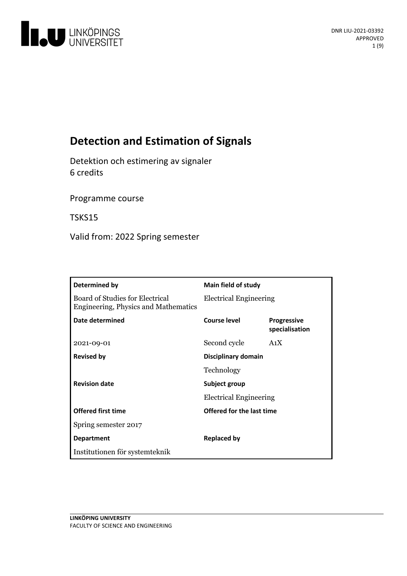

# **Detection and Estimation of Signals**

Detektion och estimering av signaler 6 credits

Programme course

TSKS15

Valid from: 2022 Spring semester

| Determined by                                                           | Main field of study                            |                                      |
|-------------------------------------------------------------------------|------------------------------------------------|--------------------------------------|
| Board of Studies for Electrical<br>Engineering, Physics and Mathematics | <b>Electrical Engineering</b>                  |                                      |
| Date determined                                                         | Course level                                   | <b>Progressive</b><br>specialisation |
| 2021-09-01                                                              | Second cycle                                   | A <sub>1</sub> X                     |
| <b>Revised by</b>                                                       | Disciplinary domain                            |                                      |
|                                                                         | Technology                                     |                                      |
| <b>Revision date</b>                                                    | Subject group<br><b>Electrical Engineering</b> |                                      |
|                                                                         |                                                |                                      |
| <b>Offered first time</b>                                               | Offered for the last time                      |                                      |
| Spring semester 2017                                                    |                                                |                                      |
| <b>Department</b>                                                       | <b>Replaced by</b>                             |                                      |
| Institutionen för systemteknik                                          |                                                |                                      |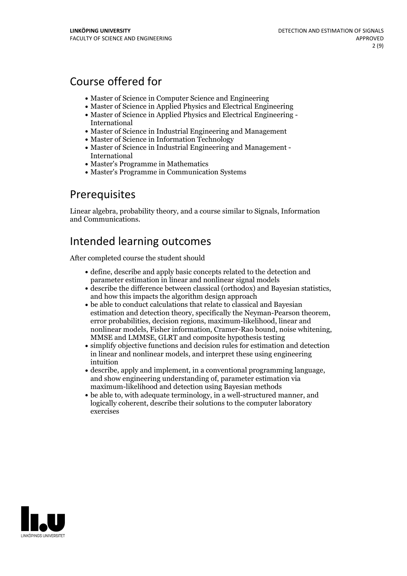# Course offered for

- Master of Science in Computer Science and Engineering
- Master of Science in Applied Physics and Electrical Engineering
- Master of Science in Applied Physics and Electrical Engineering International
- Master of Science in Industrial Engineering and Management
- Master of Science in Information Technology
- Master of Science in Industrial Engineering and Management International
- Master's Programme in Mathematics
- Master's Programme in Communication Systems

## Prerequisites

Linear algebra, probability theory, and a course similar to Signals, Information and Communications.

# Intended learning outcomes

After completed course the student should

- define, describe and apply basic concepts related to the detection and parameter estimation in linear and nonlinear signal models
- describe the difference between classical (orthodox) and Bayesian statistics, and how this impacts the algorithm design approach
- be able to conduct calculations that relate to classical and Bayesian estimation and detection theory, specifically the Neyman-Pearson theorem, error probabilities, decision regions, maximum-likelihood, linear and nonlinear models, Fisher information, Cramer-Rao bound, noise whitening, MMSE and LMMSE, GLRT and composite hypothesis testing
- simplify objective functions and decision rules for estimation and detection in linear and nonlinear models, and interpret these using engineering intuition
- describe, apply and implement, in <sup>a</sup> conventional programming language, and show engineering understanding of, parameter estimation via maximum-likelihood and detection using Bayesian methods
- be able to, with adequate terminology, in a well-structured manner, and logically coherent, describe their solutions to the computer laboratory exercises

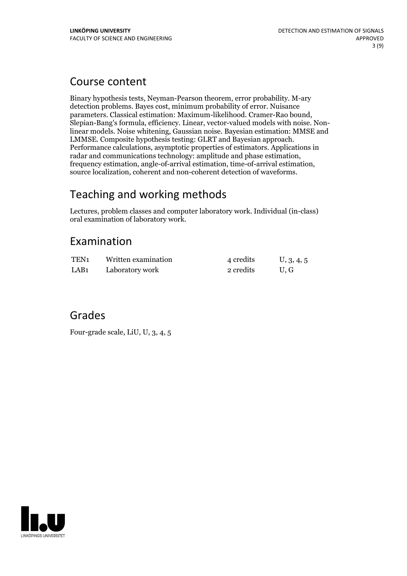## Course content

Binary hypothesis tests, Neyman-Pearson theorem, error probability. M-ary detection problems. Bayes cost, minimum probability of error. Nuisance parameters. Classical estimation: Maximum-likelihood. Cramer-Rao bound, Slepian-Bang's formula, efficiency. Linear, vector-valued models with noise. Nonlinear models. Noise whitening, Gaussian noise. Bayesian estimation: MMSE and Performance calculations, asymptotic properties of estimators. Applications in radar and communications technology: amplitude and phase estimation, frequency estimation, angle-of-arrival estimation, time-of-arrival estimation, source localization, coherent and non-coherent detection of waveforms.

# Teaching and working methods

Lectures, problem classes and computer laboratory work. Individual (in-class) oral examination of laboratory work.

## Examination

| TEN <sub>1</sub> | Written examination | 4 credits | U, 3, 4, 5 |
|------------------|---------------------|-----------|------------|
| LAB <sub>1</sub> | Laboratory work     | 2 credits | U.G        |

## Grades

Four-grade scale, LiU, U, 3, 4, 5

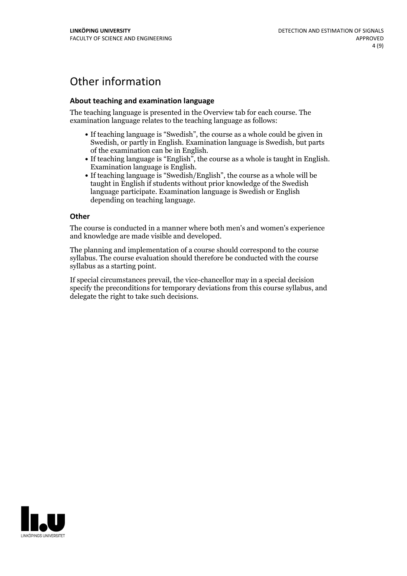# Other information

### **About teaching and examination language**

The teaching language is presented in the Overview tab for each course. The examination language relates to the teaching language as follows:

- If teaching language is "Swedish", the course as a whole could be given in Swedish, or partly in English. Examination language is Swedish, but parts
- of the examination can be in English. If teaching language is "English", the course as <sup>a</sup> whole is taught in English. Examination language is English. If teaching language is "Swedish/English", the course as <sup>a</sup> whole will be
- taught in English if students without prior knowledge of the Swedish language participate. Examination language is Swedish or English depending on teaching language.

#### **Other**

The course is conducted in a manner where both men's and women's experience and knowledge are made visible and developed.

The planning and implementation of a course should correspond to the course syllabus. The course evaluation should therefore be conducted with the course syllabus as a starting point.

If special circumstances prevail, the vice-chancellor may in a special decision specify the preconditions for temporary deviations from this course syllabus, and delegate the right to take such decisions.

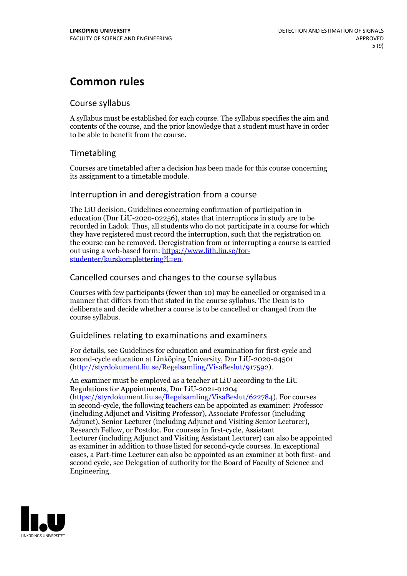# **Common rules**

### Course syllabus

A syllabus must be established for each course. The syllabus specifies the aim and contents of the course, and the prior knowledge that a student must have in order to be able to benefit from the course.

## Timetabling

Courses are timetabled after a decision has been made for this course concerning its assignment to a timetable module.

### Interruption in and deregistration from a course

The LiU decision, Guidelines concerning confirmation of participation in education (Dnr LiU-2020-02256), states that interruptions in study are to be recorded in Ladok. Thus, all students who do not participate in a course for which they have registered must record the interruption, such that the registration on the course can be removed. Deregistration from or interrupting a course is carried out using <sup>a</sup> web-based form: https://www.lith.liu.se/for- [studenter/kurskomplettering?l=en.](https://www.lith.liu.se/for-studenter/kurskomplettering?l=en)

## Cancelled courses and changes to the course syllabus

Courses with few participants (fewer than 10) may be cancelled or organised in a manner that differs from that stated in the course syllabus. The Dean is to deliberate and decide whether a course is to be cancelled or changed from the course syllabus.

## Guidelines relating to examinations and examiners

For details, see Guidelines for education and examination for first-cycle and second-cycle education at Linköping University, Dnr LiU-2020-04501 [\(http://styrdokument.liu.se/Regelsamling/VisaBeslut/917592\)](http://styrdokument.liu.se/Regelsamling/VisaBeslut/917592).

An examiner must be employed as a teacher at LiU according to the LiU Regulations for Appointments, Dnr LiU-2021-01204 [\(https://styrdokument.liu.se/Regelsamling/VisaBeslut/622784](https://styrdokument.liu.se/Regelsamling/VisaBeslut/622784)). For courses in second-cycle, the following teachers can be appointed as examiner: Professor (including Adjunct and Visiting Professor), Associate Professor (including Adjunct), Senior Lecturer (including Adjunct and Visiting Senior Lecturer), Research Fellow, or Postdoc. For courses in first-cycle, Assistant Lecturer (including Adjunct and Visiting Assistant Lecturer) can also be appointed as examiner in addition to those listed for second-cycle courses. In exceptional cases, a Part-time Lecturer can also be appointed as an examiner at both first- and second cycle, see Delegation of authority for the Board of Faculty of Science and Engineering.

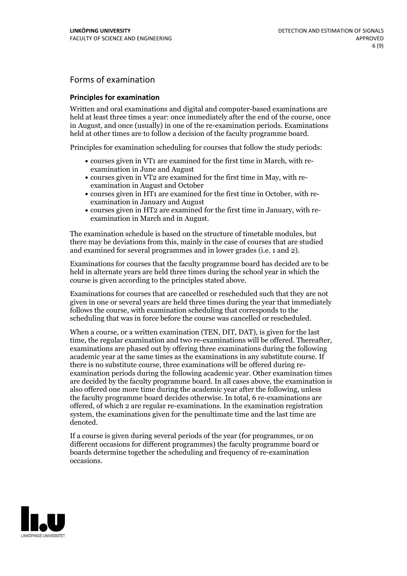## Forms of examination

### **Principles for examination**

Written and oral examinations and digital and computer-based examinations are held at least three times a year: once immediately after the end of the course, once in August, and once (usually) in one of the re-examination periods. Examinations held at other times are to follow a decision of the faculty programme board.

Principles for examination scheduling for courses that follow the study periods:

- courses given in VT1 are examined for the first time in March, with re-examination in June and August
- courses given in VT2 are examined for the first time in May, with re-examination in August and October
- courses given in HT1 are examined for the first time in October, with re-examination in January and August
- courses given in HT2 are examined for the first time in January, with re-examination in March and in August.

The examination schedule is based on the structure of timetable modules, but there may be deviations from this, mainly in the case of courses that are studied and examined for several programmes and in lower grades (i.e. 1 and 2).

Examinations for courses that the faculty programme board has decided are to be held in alternate years are held three times during the school year in which the course is given according to the principles stated above.

Examinations for courses that are cancelled orrescheduled such that they are not given in one or several years are held three times during the year that immediately follows the course, with examination scheduling that corresponds to the scheduling that was in force before the course was cancelled or rescheduled.

When a course, or a written examination (TEN, DIT, DAT), is given for the last time, the regular examination and two re-examinations will be offered. Thereafter, examinations are phased out by offering three examinations during the following academic year at the same times as the examinations in any substitute course. If there is no substitute course, three examinations will be offered during re- examination periods during the following academic year. Other examination times are decided by the faculty programme board. In all cases above, the examination is also offered one more time during the academic year after the following, unless the faculty programme board decides otherwise. In total, 6 re-examinations are offered, of which 2 are regular re-examinations. In the examination registration system, the examinations given for the penultimate time and the last time are denoted.

If a course is given during several periods of the year (for programmes, or on different occasions for different programmes) the faculty programme board or boards determine together the scheduling and frequency of re-examination occasions.

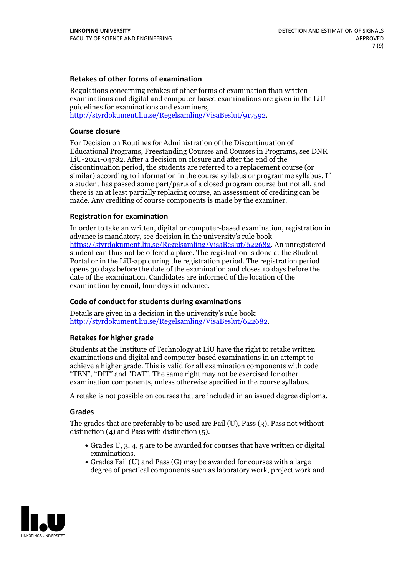### **Retakes of other forms of examination**

Regulations concerning retakes of other forms of examination than written examinations and digital and computer-based examinations are given in the LiU guidelines for examinations and examiners, [http://styrdokument.liu.se/Regelsamling/VisaBeslut/917592.](http://styrdokument.liu.se/Regelsamling/VisaBeslut/917592)

#### **Course closure**

For Decision on Routines for Administration of the Discontinuation of Educational Programs, Freestanding Courses and Courses in Programs, see DNR LiU-2021-04782. After a decision on closure and after the end of the discontinuation period, the students are referred to a replacement course (or similar) according to information in the course syllabus or programme syllabus. If a student has passed some part/parts of a closed program course but not all, and there is an at least partially replacing course, an assessment of crediting can be made. Any crediting of course components is made by the examiner.

#### **Registration for examination**

In order to take an written, digital or computer-based examination, registration in advance is mandatory, see decision in the university's rule book [https://styrdokument.liu.se/Regelsamling/VisaBeslut/622682.](https://styrdokument.liu.se/Regelsamling/VisaBeslut/622682) An unregistered student can thus not be offered a place. The registration is done at the Student Portal or in the LiU-app during the registration period. The registration period opens 30 days before the date of the examination and closes 10 days before the date of the examination. Candidates are informed of the location of the examination by email, four days in advance.

#### **Code of conduct for students during examinations**

Details are given in a decision in the university's rule book: <http://styrdokument.liu.se/Regelsamling/VisaBeslut/622682>.

#### **Retakes for higher grade**

Students at the Institute of Technology at LiU have the right to retake written examinations and digital and computer-based examinations in an attempt to achieve a higher grade. This is valid for all examination components with code "TEN", "DIT" and "DAT". The same right may not be exercised for other examination components, unless otherwise specified in the course syllabus.

A retake is not possible on courses that are included in an issued degree diploma.

#### **Grades**

The grades that are preferably to be used are Fail (U), Pass (3), Pass not without distinction  $(4)$  and Pass with distinction  $(5)$ .

- Grades U, 3, 4, 5 are to be awarded for courses that have written or digital examinations.<br>• Grades Fail (U) and Pass (G) may be awarded for courses with a large
- degree of practical components such as laboratory work, project work and

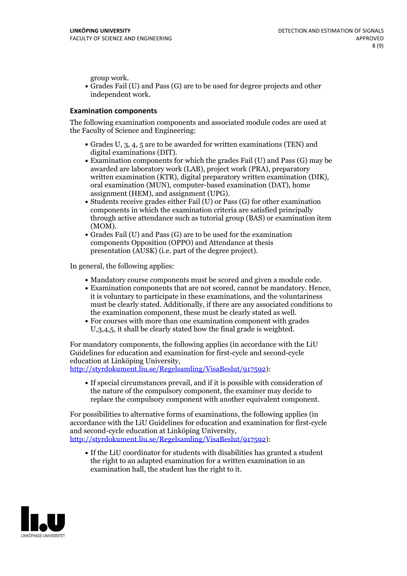group work.<br>• Grades Fail (U) and Pass (G) are to be used for degree projects and other independent work.

### **Examination components**

The following examination components and associated module codes are used at the Faculty of Science and Engineering:

- Grades U, 3, 4, 5 are to be awarded for written examinations (TEN) and
- digital examinations (DIT).<br>• Examination components for which the grades Fail (U) and Pass (G) may be awarded are laboratory work (LAB), project work (PRA), preparatory written examination (KTR), digital preparatory written examination (DIK), oral examination (MUN), computer-based examination (DAT), home
- assignment (HEM), and assignment (UPG).<br>• Students receive grades either Fail (U) or Pass (G) for other examination components in which the examination criteria are satisfied principally through active attendance such as tutorial group (BAS) or examination item
- (MOM).<br>• Grades Fail (U) and Pass (G) are to be used for the examination components Opposition (OPPO) and Attendance at thesis presentation (AUSK) (i.e. part of the degree project).

In general, the following applies:

- 
- Mandatory course components must be scored and given <sup>a</sup> module code. Examination components that are not scored, cannot be mandatory. Hence, it is voluntary to participate in these examinations, and the voluntariness must be clearly stated. Additionally, if there are any associated conditions to
- the examination component, these must be clearly stated as well.<br>• For courses with more than one examination component with grades U,3,4,5, it shall be clearly stated how the final grade is weighted.

For mandatory components, the following applies (in accordance with the LiU Guidelines for education and examination for first-cycle and second-cycle education at Linköping University,<br>[http://styrdokument.liu.se/Regelsamling/VisaBeslut/917592\)](http://styrdokument.liu.se/Regelsamling/VisaBeslut/917592):

If special circumstances prevail, and if it is possible with consideration of the nature of the compulsory component, the examiner may decide to replace the compulsory component with another equivalent component.

For possibilities to alternative forms of examinations, the following applies (in accordance with the LiU Guidelines for education and examination for first-cycle [http://styrdokument.liu.se/Regelsamling/VisaBeslut/917592\)](http://styrdokument.liu.se/Regelsamling/VisaBeslut/917592):

If the LiU coordinator for students with disabilities has granted a student the right to an adapted examination for a written examination in an examination hall, the student has the right to it.